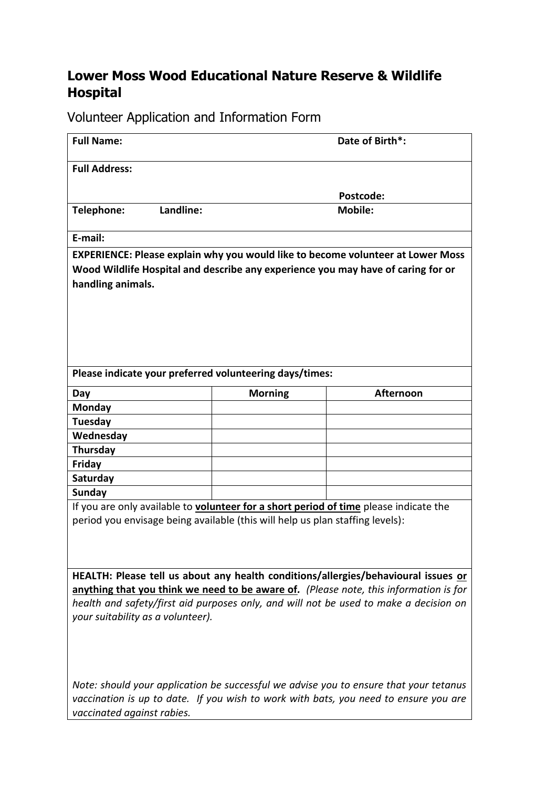## **Lower Moss Wood Educational Nature Reserve & Wildlife Hospital**

Volunteer Application and Information Form

| <b>Full Name:</b>                                                                            |                | Date of Birth*:                                                                        |
|----------------------------------------------------------------------------------------------|----------------|----------------------------------------------------------------------------------------|
| <b>Full Address:</b>                                                                         |                |                                                                                        |
|                                                                                              |                | Postcode:                                                                              |
| Landline:<br>Telephone:                                                                      |                | <b>Mobile:</b>                                                                         |
| E-mail:                                                                                      |                |                                                                                        |
|                                                                                              |                | <b>EXPERIENCE: Please explain why you would like to become volunteer at Lower Moss</b> |
| Wood Wildlife Hospital and describe any experience you may have of caring for or             |                |                                                                                        |
| handling animals.                                                                            |                |                                                                                        |
|                                                                                              |                |                                                                                        |
|                                                                                              |                |                                                                                        |
|                                                                                              |                |                                                                                        |
|                                                                                              |                |                                                                                        |
|                                                                                              |                |                                                                                        |
|                                                                                              |                |                                                                                        |
| Please indicate your preferred volunteering days/times:                                      |                |                                                                                        |
| Day                                                                                          | <b>Morning</b> | <b>Afternoon</b>                                                                       |
| Monday                                                                                       |                |                                                                                        |
| Tuesday                                                                                      |                |                                                                                        |
| Wednesday                                                                                    |                |                                                                                        |
| Thursday                                                                                     |                |                                                                                        |
| Friday                                                                                       |                |                                                                                        |
| Saturday                                                                                     |                |                                                                                        |
| Sunday                                                                                       |                |                                                                                        |
| If you are only available to <b>volunteer for a short period of time</b> please indicate the |                |                                                                                        |
| period you envisage being available (this will help us plan staffing levels):                |                |                                                                                        |
|                                                                                              |                |                                                                                        |
|                                                                                              |                |                                                                                        |
|                                                                                              |                |                                                                                        |
|                                                                                              |                | HEALTH: Please tell us about any health conditions/allergies/behavioural issues or     |
|                                                                                              |                | anything that you think we need to be aware of. (Please note, this information is for  |
|                                                                                              |                | health and safety/first aid purposes only, and will not be used to make a decision on  |
| your suitability as a volunteer).                                                            |                |                                                                                        |
|                                                                                              |                |                                                                                        |
|                                                                                              |                |                                                                                        |
|                                                                                              |                |                                                                                        |
|                                                                                              |                |                                                                                        |
| Note: should your application be successful we advise you to ensure that your tetanus        |                |                                                                                        |
| vaccination is up to date. If you wish to work with bats, you need to ensure you are         |                |                                                                                        |
| vaccinated against rabies.                                                                   |                |                                                                                        |